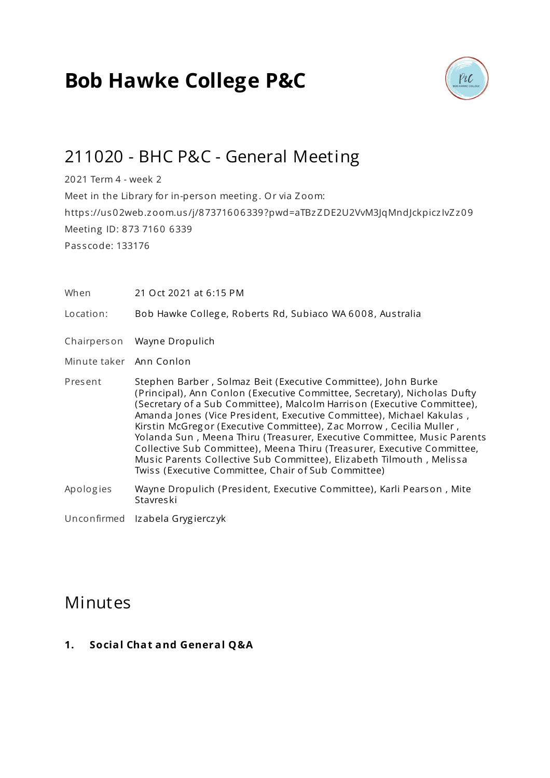# **Bob Hawke College P&C**



## 211020 - BHC P&C - General Meeting

2021 Term 4 - week 2 Meet in the Library for in-person meeting . Or via Zoom: https ://us02web.zoom.us /j/87371606339?pwd=aTBzZDE2U2VvM3JqMndJckpicz IvZz09 Meeting ID: 873 7160 6339 Pas s code: 133176

When 21 Oct 2021 at 6:15 PM

Location: Bob Hawke College, Roberts Rd, Subiaco WA 6008, Australia

- Chairperson Wayne Dropulich
- Minute taker Ann Conlon
- Present Stephen Barber , Solmaz Beit (Executive Committee), John Burke (Principal), Ann Conlon (Executive Committee, Secretary), Nicholas Dufty (Secretary of a Sub Committee), Malcolm Harrison (Executive Committee), Amanda Jones (Vice President, Executive Committee), Michael Kakulas, Kirs tin McGreg or (Executive Committee), Zac Morrow , Cecilia Muller , Yolanda Sun, Meena Thiru (Treasurer, Executive Committee, Music Parents Collective Sub Committee), Meena Thiru (Treasurer, Executive Committee, Mus ic Parents Collective Sub Committee), Elizabeth Tilmouth , Melis sa Twiss (Executive Committee, Chair of Sub Committee)
- Apologies Wayne Dropulich (President, Executive Committee), Karli Pearson, Mite Stavreski
- Unconfirmed Izabela Gryg iercz yk

## **Minutes**

**1. Social Chat and General Q&A**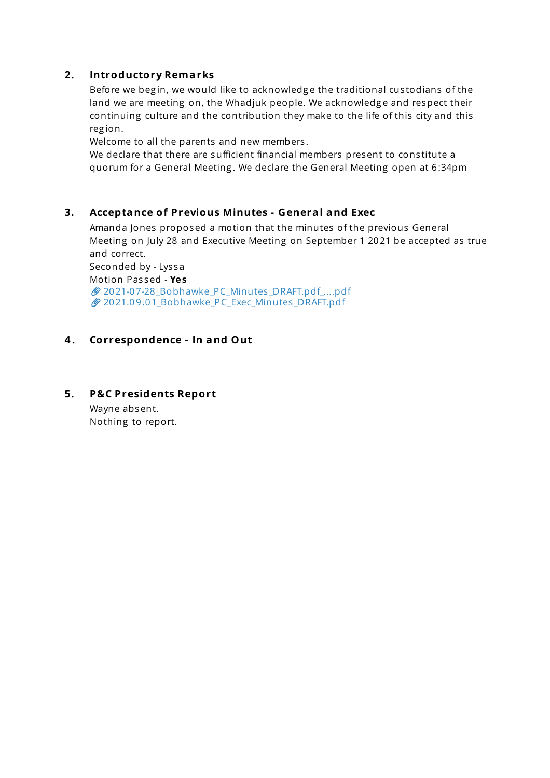## **2. Introductory Remarks**

Before we begin, we would like to acknowledge the traditional custodians of the land we are meeting on, the Whadjuk people. We acknowledge and respect their continuing culture and the contribution they make to the life of this city and this reg ion.

Welcome to all the parents and new members.

We declare that there are sufficient financial members present to constitute a quorum for a General Meeting . We declare the General Meeting open at 6:34pm

#### **3. Acceptance of Previous Minutes - General and Exec**

Amanda Jones proposed a motion that the minutes of the previous General Meeting on July 28 and Executive Meeting on September 1 2021 be accepted as true and correct.

Seconded by - Lys sa Motion Pas sed - **Yes** [2021-07-28\\_Bobhawke\\_PC\\_Minutes](https://s3.tidyhq.com/orgs/b5f25cff9c5e/attachments/5a32c3a652801eac97dd41ebf40b111ed59d113c/2021-07-28_Bobhawke_PC_Minutes_DRAFT.pdf_28-7-21.pdf) \_DRAFT.pdf\_....pdf 2021.09.01 Bobhawke PC Exec Minutes DRAFT.pdf

## **4 . Correspondence - In and Out**

#### **5. P&C Presidents Report**

Wayne absent. Nothing to report.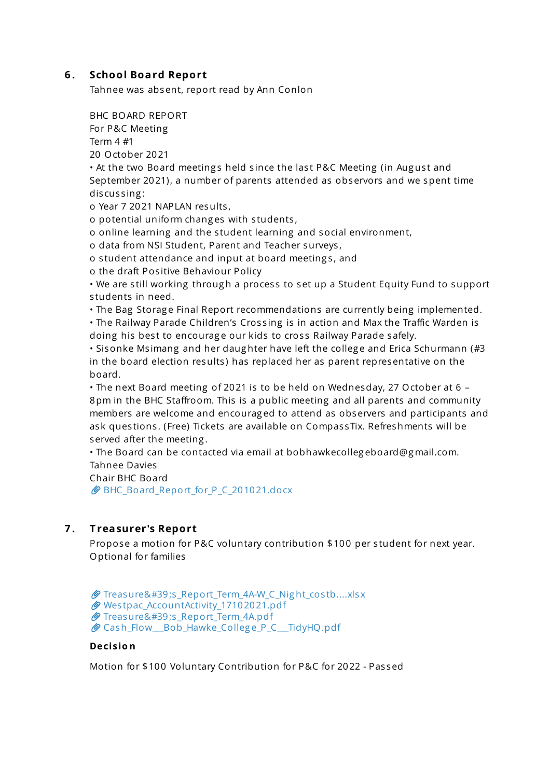## **6 . School Board Report**

Tahnee was absent, report read by Ann Conlon

BHC BOARD REPORT For P&C Meeting Term 4 #1 20 October 2021

• At the two Board meetings held since the last P&C Meeting (in August and September 2021), a number of parents attended as observors and we spent time discussing:

o Year 7 2021 NAPLAN results,

o potential uniform chang es with s tudents ,

o online learning and the s tudent learning and social environment,

o data from NSI Student, Parent and Teacher surveys ,

o student attendance and input at board meetings, and

o the draft Pos itive Behaviour Policy

• We are still working through a process to set up a Student Equity Fund to support s tudents in need.

• The Bag Storage Final Report recommendations are currently being implemented.

• The Railway Parade Children's Crossing is in action and Max the Traffic Warden is doing his best to encourage our kids to cross Railway Parade safely.

• Sisonke Msimang and her daughter have left the college and Erica Schurmann (#3 in the board election results) has replaced her as parent representative on the board.

• The next Board meeting of 2021 is to be held on Wednesday, 27 October at 6 – 8pm in the BHC Staffroom. This is a public meeting and all parents and community members are welcome and encourag ed to attend as observers and participants and ask questions. (Free) Tickets are available on CompassTix. Refreshments will be served after the meeting .

• The Board can be contacted via email at bobhawkecolleg eboard@g mail.com. Tahnee Davies

Chair BHC Board

[BHC\\_Board\\_Report\\_for\\_P\\_C\\_201021.docx](https://s3.tidyhq.com/orgs/b5f25cff9c5e/attachments/49a56f80583851de8e1cb90580ca592f9123809e/BHC_Board_Report_for_P_C_201021.docx)

## **7 . T reasurer's Report**

Propose a motion for P&C voluntary contribution \$100 per student for next year. Optional for families

```
_Report_Term_4A-W_C_Night_costb....xlsx
tpac_AccountActivity_17102021.pdf
Treasure's _Report_Term_4A.pdf
Cash_Flow__Bob_Hawke_College_P_C__TidyHQ.pdf
```
#### **Decisio n**

Motion for \$100 Voluntary Contribution for P&C for 2022 - Passed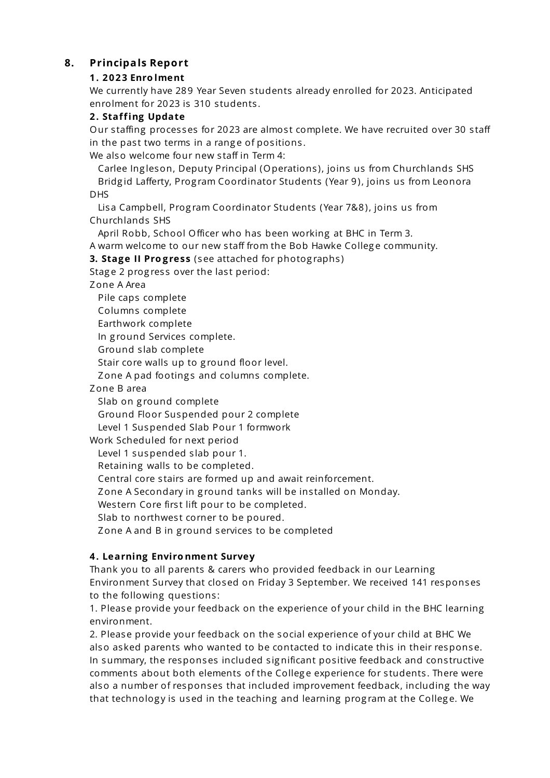## **8. Principals Report**

## **1. 2023 Enro lment**

We currently have 289 Year Seven students already enrolled for 2023. Anticipated enrolment for 2023 is 310 students.

## **2. Staffing Update**

Our staffing processes for 2023 are almost complete. We have recruited over 30 staff in the past two terms in a range of positions.

We also welcome four new staff in Term 4:

Carlee Ing leson, Deputy Principal (Operations ), joins us from Churchlands SHS Bridg id Lafferty, Prog ram Coordinator Students (Year 9), joins us from Leonora DHS

Lisa Campbell, Program Coordinator Students (Year 7&8), joins us from Churchlands SHS

April Robb, School Officer who has been working at BHC in Term 3.

A warm welcome to our new s taff from the Bob Hawke Colleg e community.

**3. Stage II Pro gress** (see attached for photog raphs )

Stage 2 progress over the last period:

Zone A Area

Pile caps complete

Columns complete

Earthwork complete

In g round Services complete.

Ground s lab complete

Stair core walls up to ground floor level.

Zone A pad footings and columns complete.

Zone B area

Slab on g round complete

Ground Floor Suspended pour 2 complete

Level 1 Suspended Slab Pour 1 formwork

Work Scheduled for next period

Level 1 suspended slab pour 1.

Retaining walls to be completed.

Central core s tairs are formed up and await reinforcement.

Zone A Secondary in ground tanks will be installed on Monday.

Western Core first lift pour to be completed.

Slab to northwest corner to be poured.

Zone A and B in ground services to be completed

## **4. Learning Enviro nment Survey**

Thank you to all parents & carers who provided feedback in our Learning Environment Survey that closed on Friday 3 September. We received 141 responses to the following questions:

1. Please provide your feedback on the experience of your child in the BHC learning environment.

2. Please provide your feedback on the social experience of your child at BHC We also asked parents who wanted to be contacted to indicate this in their response. In summary, the responses included significant positive feedback and constructive comments about both elements of the College experience for students. There were also a number of responses that included improvement feedback, including the way that technology is used in the teaching and learning program at the College. We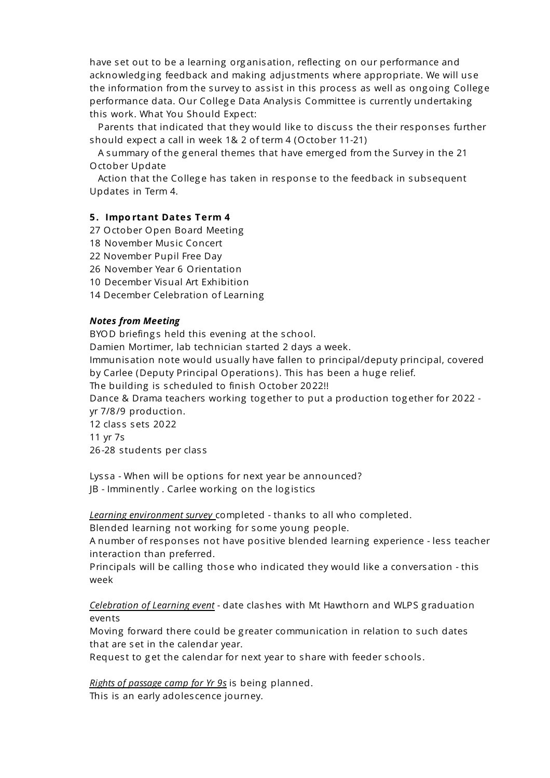have set out to be a learning org anisation, reflecting on our performance and acknowledging feedback and making adjustments where appropriate. We will use the information from the survey to assist in this process as well as ongoing College performance data. Our College Data Analysis Committee is currently undertaking this work. What You Should Expect:

Parents that indicated that they would like to discuss the their responses further should expect a call in week 1& 2 of term 4 (October 11-21)

A summary of the g eneral themes that have emerg ed from the Survey in the 21 October Update

Action that the College has taken in response to the feedback in subsequent Updates in Term 4.

#### **5. Impo rtant Dates Term 4**

- 27 October Open Board Meeting
- 18 November Music Concert
- 22 November Pupil Free Day
- 26 November Year 6 Orientation
- 10 December Visual Art Exhibition
- 14 December Celebration of Learning

#### *Notes from Meeting*

BYOD briefings held this evening at the school.

Damien Mortimer, lab technician started 2 days a week.

Immunisation note would usually have fallen to principal/deputy principal, covered by Carlee (Deputy Principal Operations). This has been a huge relief.

The building is scheduled to finish October 2022!!

Dance & Drama teachers working tog ether to put a production tog ether for 2022 yr 7/8/9 production.

12 class sets 2022

11 yr 7s

26-28 students per class

Lyssa - When will be options for next year be announced?

JB - Imminently . Carlee working on the log is tics

*Learning environment survey* completed - thanks to all who completed.

Blended learning not working for some young people.

A number of responses not have positive blended learning experience - less teacher interaction than preferred.

Principals will be calling those who indicated they would like a conversation - this week

*Celebration of Learning event* - date clashes with Mt Hawthorn and WLPS g raduation events

Moving forward there could be g reater communication in relation to such dates that are set in the calendar year.

Request to get the calendar for next year to share with feeder schools.

*Rights of passage camp for Yr 9s* is being planned. This is an early adoles cence journey.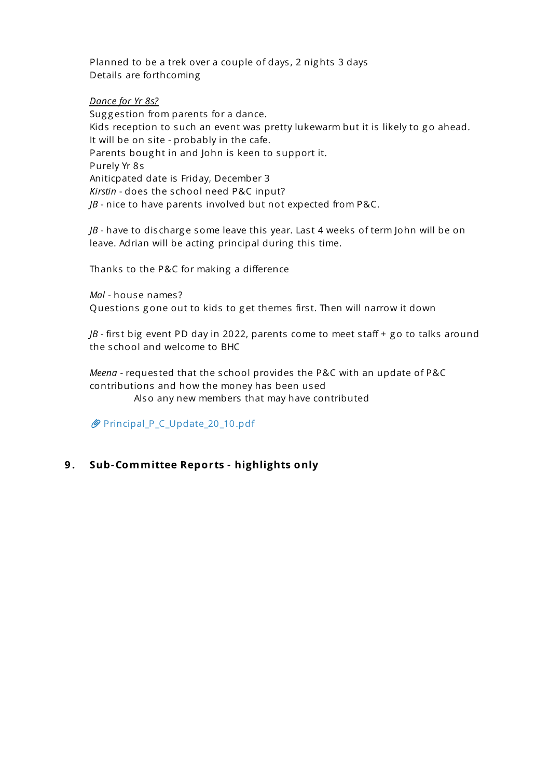Planned to be a trek over a couple of days, 2 nights 3 days Details are forthcoming

#### *Dance for Yr 8s?*

Suggestion from parents for a dance. Kids reception to such an event was pretty lukewarm but it is likely to go ahead. It will be on site - probably in the cafe. Parents bought in and John is keen to support it. Purely Yr 8s Aniticpated date is Friday, December 3 *Kirstin* - does the s chool need P&C input? *JB* - nice to have parents involved but not expected from P&C.

*JB* - have to discharge some leave this year. Last 4 weeks of term John will be on leave. Adrian will be acting principal during this time.

Thanks to the P&C for making a difference

*Mal -* house names ? Questions gone out to kids to get themes first. Then will narrow it down

 $\beta$  - first big event PD day in 2022, parents come to meet staff + go to talks around the s chool and welcome to BHC

*Meena* - reques ted that the s chool provides the P&C with an update of P&C contributions and how the money has been used Also any new members that may have contributed

[Principal\\_P\\_C\\_Update\\_20\\_10.pdf](https://s3.tidyhq.com/orgs/b5f25cff9c5e/attachments/9e0881d48c62d28caa28264b257f02ec41b1aea7/Principal_P_C_Update_20_10.pdf)

## **9 . Sub-Committee Reports - highlights only**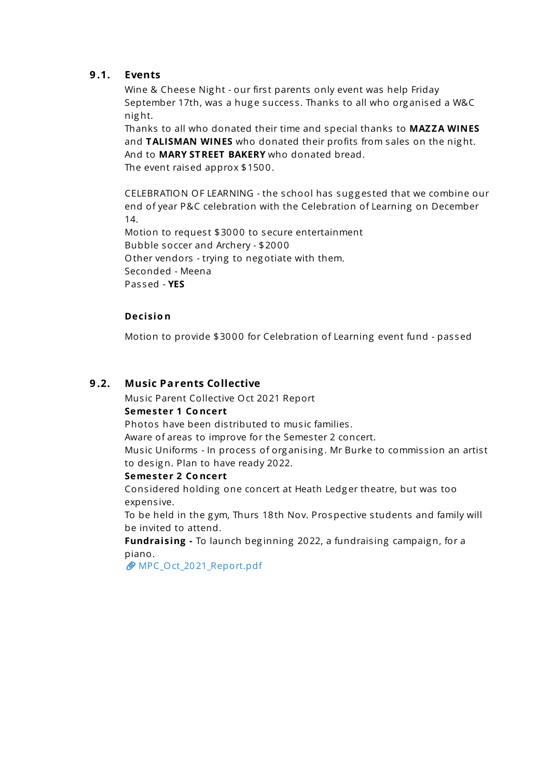## **9 .1. Events**

Wine & Cheese Night - our first parents only event was help Friday September 17th, was a huge success. Thanks to all who organised a W&C nig ht.

Thanks to all who donated their time and special thanks to **MAZZA WINES** and **TALISMAN WINES** who donated their profits from sales on the nig ht. And to **MARY STREET BAKERY** who donated bread.

The event raised approx \$1500.

CELEBRATION OF LEARNING - the s chool has sug g es ted that we combine our end of year P&C celebration with the Celebration of Learning on December 14.

Motion to request \$3000 to secure entertainment Bubble soccer and Archery - \$2000 Other vendors - trying to neg otiate with them. Seconded - Meena Pas sed - **YES**

#### **Decisio n**

Motion to provide \$3000 for Celebration of Learning event fund - passed

#### **9 .2. Music Parents Collective**

Mus ic Parent Collective Oct 2021 Report

#### **Semester 1 Co ncert**

Photos have been distributed to music families.

Aware of areas to improve for the Semester 2 concert.

Music Uniforms - In process of organising. Mr Burke to commission an artist to design. Plan to have ready 2022.

#### **Semester 2 Co ncert**

Cons idered holding one concert at Heath Ledg er theatre, but was too expens ive.

To be held in the gym, Thurs 18th Nov. Prospective students and family will be invited to attend.

**Fundraising** - To launch beginning 2022, a fundraising campaign, for a piano.

[MPC\\_Oct\\_2021\\_Report.pdf](https://s3.tidyhq.com/orgs/b5f25cff9c5e/attachments/a6189d9cb5b611cf80fdf2d25bb1af4dbf0ab8dc/MPC_Oct_2021_Report.pdf)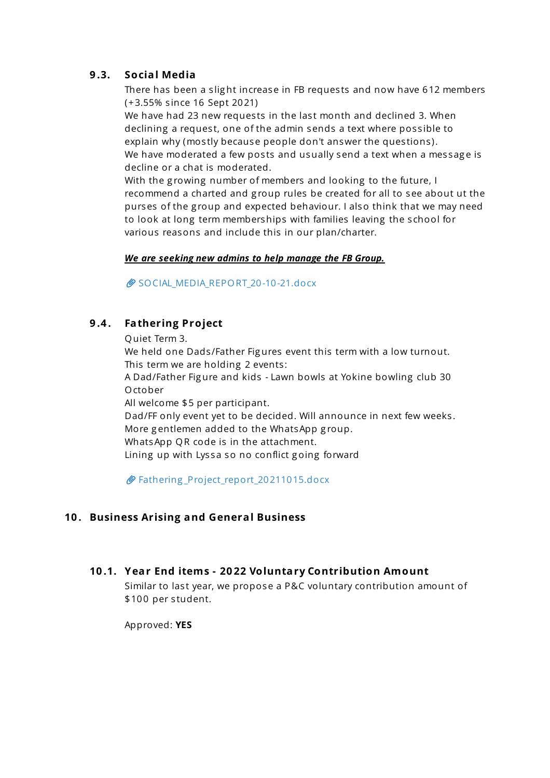## **9 .3. Social Media**

There has been a slight increase in FB requests and now have 612 members (+3.55% s ince 16 Sept 2021)

We have had 23 new requests in the last month and declined 3. When declining a request, one of the admin sends a text where possible to explain why (mostly because people don't answer the questions). We have moderated a few posts and usually send a text when a message is decline or a chat is moderated.

With the growing number of members and looking to the future, I recommend a charted and group rules be created for all to see about ut the purses of the g roup and expected behaviour. I also think that we may need to look at long term memberships with families leaving the s chool for various reasons and include this in our plan/charter.

#### *We are seeking new admins to help manage the FB Group.*

SOCIAL MEDIA REPORT 20-10-21.docx

## **9 .4 . Fathering Project**

Quiet Term 3.

We held one Dads/Father Figures event this term with a low turnout. This term we are holding 2 events:

A Dad/Father Fig ure and kids - Lawn bowls at Yokine bowling club 30 October

All welcome \$5 per participant.

Dad/FF only event yet to be decided. Will announce in next few weeks . More g entlemen added to the WhatsApp g roup.

WhatsApp QR code is in the attachment.

Lining up with Lyssa so no conflict going forward

Fathering [\\_Project\\_report\\_20211015.docx](https://s3.tidyhq.com/orgs/b5f25cff9c5e/attachments/a076c657f59f9e77b27a5c239f07fcb0ef508a39/Fathering_Project_report_20211015.docx)

## **10 . Business Arising and General Business**

## **10 .1. Year End items - 20 22 Voluntary Contribution Amount**

Similar to last year, we propose a P&C voluntary contribution amount of \$100 per student.

Approved: **YES**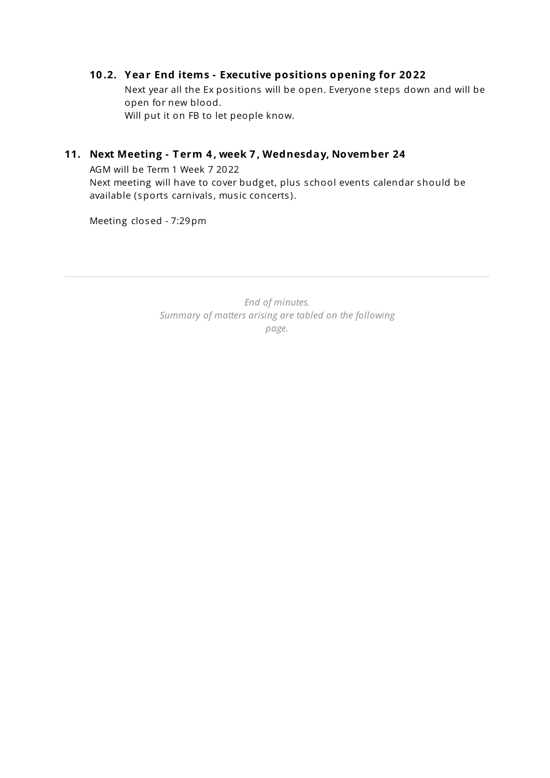## **10 .2. Year End items - Executive positions opening for 20 22**

Next year all the Ex positions will be open. Everyone steps down and will be open for new blood. Will put it on FB to let people know.

## **11. Next Meeting - T erm 4 , week 7 , Wednesday, November 24**

AGM will be Term 1 Week 7 2022 Next meeting will have to cover budg et, plus s chool events calendar should be available (sports carnivals, music concerts).

Meeting closed - 7:29pm

*End of minutes. Summary of matters arising are tabled on the following page.*